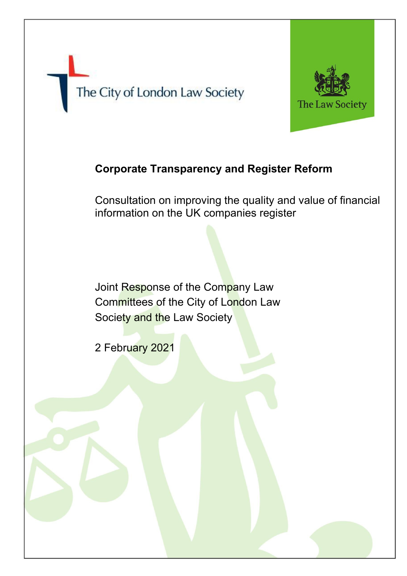# The City of London Law Society



# **Corporate Transparency and Register Reform**

Consultation on improving the quality and value of financial information on the UK companies register

Joint Response of the Company Law Committees of the City of London Law Society and the Law Society

2 February 2021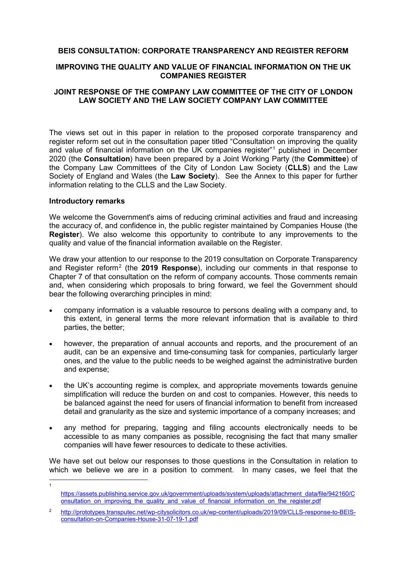#### **BEIS CONSULTATION: CORPORATE TRANSPARENCY AND REGISTER REFORM**

#### **IMPROVING THE QUALITY AND VALUE OF FINANCIAL INFORMATION ON THE UK COMPANIES REGISTER**

#### **JOINT RESPONSE OF THE COMPANY LAW COMMITTEE OF THE CITY OF LONDON LAW SOCIETY AND THE LAW SOCIETY COMPANY LAW COMMITTEE**

The views set out in this paper in relation to the proposed corporate transparency and register reform set out in the consultation paper titled "Consultation on improving the quality and value of financial information on the UK companies register"[1](#page-1-0) published in December 2020 (the **Consultation**) have been prepared by a Joint Working Party (the **Committee**) of the Company Law Committees of the City of London Law Society (**CLLS**) and the Law Society of England and Wales (the **Law Society**). See the Annex to this paper for further information relating to the CLLS and the Law Society.

#### **Introductory remarks**

1

We welcome the Government's aims of reducing criminal activities and fraud and increasing the accuracy of, and confidence in, the public register maintained by Companies House (the **Register**). We also welcome this opportunity to contribute to any improvements to the quality and value of the financial information available on the Register.

We draw your attention to our response to the 2019 consultation on Corporate Transparency and Register reform[2](#page-1-1) (the **2019 Response**), including our comments in that response to Chapter 7 of that consultation on the reform of company accounts. Those comments remain and, when considering which proposals to bring forward, we feel the Government should bear the following overarching principles in mind:

- company information is a valuable resource to persons dealing with a company and, to this extent, in general terms the more relevant information that is available to third parties, the better;
- however, the preparation of annual accounts and reports, and the procurement of an audit, can be an expensive and time-consuming task for companies, particularly larger ones, and the value to the public needs to be weighed against the administrative burden and expense;
- the UK's accounting regime is complex, and appropriate movements towards genuine simplification will reduce the burden on and cost to companies. However, this needs to be balanced against the need for users of financial information to benefit from increased detail and granularity as the size and systemic importance of a company increases; and
- any method for preparing, tagging and filing accounts electronically needs to be accessible to as many companies as possible, recognising the fact that many smaller companies will have fewer resources to dedicate to these activities.

We have set out below our responses to those questions in the Consultation in relation to which we believe we are in a position to comment. In many cases, we feel that the

<span id="page-1-0"></span>[https://assets.publishing.service.gov.uk/government/uploads/system/uploads/attachment\\_data/file/942160/C](https://assets.publishing.service.gov.uk/government/uploads/system/uploads/attachment_data/file/942160/Consultation_on_improving_the_quality_and_value_of_financial_information_on_the_register.pdf) onsultation on improving the quality and value of financial information on the register.pdf

<span id="page-1-1"></span><sup>2</sup> [http://prototypes.transputec.net/wp-citysolicitors.co.uk/wp-content/uploads/2019/09/CLLS-response-to-BEIS](http://prototypes.transputec.net/wp-citysolicitors.co.uk/wp-content/uploads/2019/09/CLLS-response-to-BEIS-consultation-on-Companies-House-31-07-19-1.pdf)[consultation-on-Companies-House-31-07-19-1.pdf](http://prototypes.transputec.net/wp-citysolicitors.co.uk/wp-content/uploads/2019/09/CLLS-response-to-BEIS-consultation-on-Companies-House-31-07-19-1.pdf)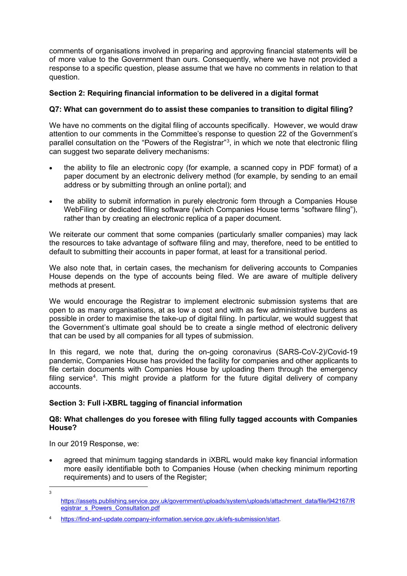comments of organisations involved in preparing and approving financial statements will be of more value to the Government than ours. Consequently, where we have not provided a response to a specific question, please assume that we have no comments in relation to that question.

# **Section 2: Requiring financial information to be delivered in a digital format**

### **Q7: What can government do to assist these companies to transition to digital filing?**

We have no comments on the digital filing of accounts specifically. However, we would draw attention to our comments in the Committee's response to question 22 of the Government's parallel consultation on the "Powers of the Registrar"<sup>[3](#page-2-0)</sup>, in which we note that electronic filing can suggest two separate delivery mechanisms:

- the ability to file an electronic copy (for example, a scanned copy in PDF format) of a paper document by an electronic delivery method (for example, by sending to an email address or by submitting through an online portal); and
- the ability to submit information in purely electronic form through a Companies House WebFiling or dedicated filing software (which Companies House terms "software filing"), rather than by creating an electronic replica of a paper document.

We reiterate our comment that some companies (particularly smaller companies) may lack the resources to take advantage of software filing and may, therefore, need to be entitled to default to submitting their accounts in paper format, at least for a transitional period.

We also note that, in certain cases, the mechanism for delivering accounts to Companies House depends on the type of accounts being filed. We are aware of multiple delivery methods at present.

We would encourage the Registrar to implement electronic submission systems that are open to as many organisations, at as low a cost and with as few administrative burdens as possible in order to maximise the take-up of digital filing. In particular, we would suggest that the Government's ultimate goal should be to create a single method of electronic delivery that can be used by all companies for all types of submission.

In this regard, we note that, during the on-going coronavirus (SARS-CoV-2)/Covid-19 pandemic, Companies House has provided the facility for companies and other applicants to file certain documents with Companies House by uploading them through the emergency filing service<sup>[4](#page-2-1)</sup>. This might provide a platform for the future digital delivery of company accounts.

# **Section 3: Full i-XBRL tagging of financial information**

#### **Q8: What challenges do you foresee with filing fully tagged accounts with Companies House?**

In our 2019 Response, we:

• agreed that minimum tagging standards in iXBRL would make key financial information more easily identifiable both to Companies House (when checking minimum reporting requirements) and to users of the Register;

<span id="page-2-0"></span><sup>3</sup>

[https://assets.publishing.service.gov.uk/government/uploads/system/uploads/attachment\\_data/file/942167/R](https://assets.publishing.service.gov.uk/government/uploads/system/uploads/attachment_data/file/942167/Registrar_s_Powers_Consultation.pdf) [egistrar\\_s\\_Powers\\_Consultation.pdf](https://assets.publishing.service.gov.uk/government/uploads/system/uploads/attachment_data/file/942167/Registrar_s_Powers_Consultation.pdf)

<span id="page-2-1"></span><sup>4</sup> [https://find-and-update.company-information.service.gov.uk/efs-submission/start.](https://find-and-update.company-information.service.gov.uk/efs-submission/start)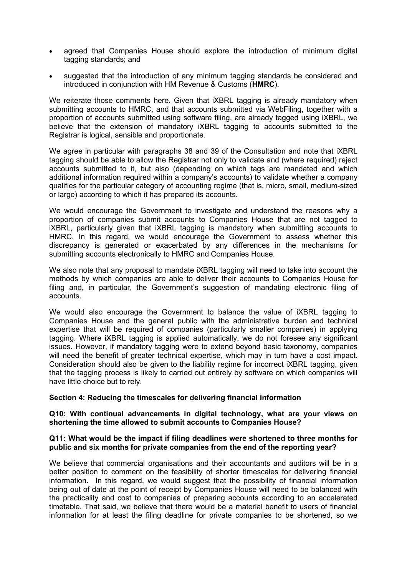- agreed that Companies House should explore the introduction of minimum digital tagging standards; and
- suggested that the introduction of any minimum tagging standards be considered and introduced in conjunction with HM Revenue & Customs (**HMRC**).

We reiterate those comments here. Given that *iXBRL* tagging is already mandatory when submitting accounts to HMRC, and that accounts submitted via WebFiling, together with a proportion of accounts submitted using software filing, are already tagged using iXBRL, we believe that the extension of mandatory iXBRL tagging to accounts submitted to the Registrar is logical, sensible and proportionate.

We agree in particular with paragraphs 38 and 39 of the Consultation and note that iXBRL tagging should be able to allow the Registrar not only to validate and (where required) reject accounts submitted to it, but also (depending on which tags are mandated and which additional information required within a company's accounts) to validate whether a company qualifies for the particular category of accounting regime (that is, micro, small, medium-sized or large) according to which it has prepared its accounts.

We would encourage the Government to investigate and understand the reasons why a proportion of companies submit accounts to Companies House that are not tagged to iXBRL, particularly given that iXBRL tagging is mandatory when submitting accounts to HMRC. In this regard, we would encourage the Government to assess whether this discrepancy is generated or exacerbated by any differences in the mechanisms for submitting accounts electronically to HMRC and Companies House.

We also note that any proposal to mandate iXBRL tagging will need to take into account the methods by which companies are able to deliver their accounts to Companies House for filing and, in particular, the Government's suggestion of mandating electronic filing of accounts.

We would also encourage the Government to balance the value of iXBRL tagging to Companies House and the general public with the administrative burden and technical expertise that will be required of companies (particularly smaller companies) in applying tagging. Where iXBRL tagging is applied automatically, we do not foresee any significant issues. However, if mandatory tagging were to extend beyond basic taxonomy, companies will need the benefit of greater technical expertise, which may in turn have a cost impact. Consideration should also be given to the liability regime for incorrect iXBRL tagging, given that the tagging process is likely to carried out entirely by software on which companies will have little choice but to rely.

#### **Section 4: Reducing the timescales for delivering financial information**

#### **Q10: With continual advancements in digital technology, what are your views on shortening the time allowed to submit accounts to Companies House?**

#### **Q11: What would be the impact if filing deadlines were shortened to three months for public and six months for private companies from the end of the reporting year?**

We believe that commercial organisations and their accountants and auditors will be in a better position to comment on the feasibility of shorter timescales for delivering financial information. In this regard, we would suggest that the possibility of financial information being out of date at the point of receipt by Companies House will need to be balanced with the practicality and cost to companies of preparing accounts according to an accelerated timetable. That said, we believe that there would be a material benefit to users of financial information for at least the filing deadline for private companies to be shortened, so we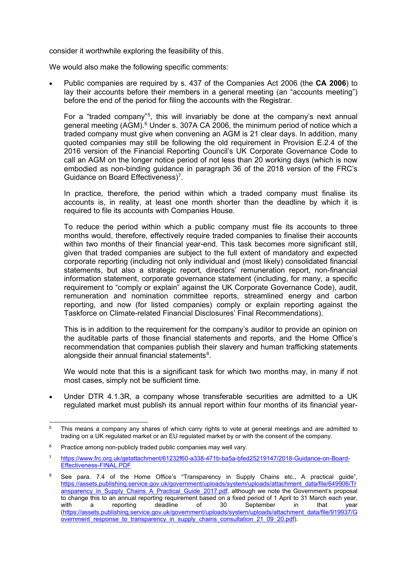consider it worthwhile exploring the feasibility of this.

We would also make the following specific comments:

• Public companies are required by s. 437 of the Companies Act 2006 (the **CA 2006**) to lay their accounts before their members in a general meeting (an "accounts meeting") before the end of the period for filing the accounts with the Registrar.

For a "traded company"<sup>[5](#page-4-0)</sup>, this will invariably be done at the company's next annual general meeting (AGM).<sup>[6](#page-4-1)</sup> Under s. 307A CA 2006, the minimum period of notice which a traded company must give when convening an AGM is 21 clear days. In addition, many quoted companies may still be following the old requirement in Provision E.2.4 of the 2016 version of the Financial Reporting Council's UK Corporate Governance Code to call an AGM on the longer notice period of not less than 20 working days (which is now embodied as non-binding guidance in paragraph 36 of the 2018 version of the FRC's Guidance on Board Effectiveness)<sup>[7](#page-4-2)</sup>.

In practice, therefore, the period within which a traded company must finalise its accounts is, in reality, at least one month shorter than the deadline by which it is required to file its accounts with Companies House.

To reduce the period within which a public company must file its accounts to three months would, therefore, effectively require traded companies to finalise their accounts within two months of their financial year-end. This task becomes more significant still, given that traded companies are subject to the full extent of mandatory and expected corporate reporting (including not only individual and (most likely) consolidated financial statements, but also a strategic report, directors' remuneration report, non-financial information statement, corporate governance statement (including, for many, a specific requirement to "comply or explain" against the UK Corporate Governance Code), audit, remuneration and nomination committee reports, streamlined energy and carbon reporting, and now (for listed companies) comply or explain reporting against the Taskforce on Climate-related Financial Disclosures' Final Recommendations).

This is in addition to the requirement for the company's auditor to provide an opinion on the auditable parts of those financial statements and reports, and the Home Office's recommendation that companies publish their slavery and human trafficking statements alongside their annual financial statements $^8\!$  $^8\!$  $^8\!$ .

We would note that this is a significant task for which two months may, in many if not most cases, simply not be sufficient time.

• Under DTR 4.1.3R, a company whose transferable securities are admitted to a UK regulated market must publish its annual report within four months of its financial year-

<span id="page-4-0"></span><sup>&</sup>lt;sup>5</sup> This means a company any shares of which carry rights to vote at general meetings and are admitted to trading on a UK regulated market or an EU regulated market by or with the consent of the company.

<span id="page-4-1"></span> $6$  Practice among non-publicly traded public companies may well vary.

<span id="page-4-2"></span><sup>7</sup> [https://www.frc.org.uk/getattachment/61232f60-a338-471b-ba5a-bfed25219147/2018-Guidance-on-Board-](https://www.frc.org.uk/getattachment/61232f60-a338-471b-ba5a-bfed25219147/2018-Guidance-on-Board-Effectiveness-FINAL.PDF)[Effectiveness-FINAL.PDF](https://www.frc.org.uk/getattachment/61232f60-a338-471b-ba5a-bfed25219147/2018-Guidance-on-Board-Effectiveness-FINAL.PDF)

<span id="page-4-3"></span><sup>&</sup>lt;sup>8</sup> See para. 7.4 of the Home Office's "Transparency in Supply Chains etc., A practical guide", [https://assets.publishing.service.gov.uk/government/uploads/system/uploads/attachment\\_data/file/649906/Tr](https://assets.publishing.service.gov.uk/government/uploads/system/uploads/attachment_data/file/649906/Transparency_in_Supply_Chains_A_Practical_Guide_2017.pdf) ansparency in Supply Chains A Practical Guide 2017.pdf, although we note the Government's proposal to change this to an annual reporting requirement based on a fixed period of 1 April to 31 March each year,<br>with a reporting deadline of 30 September in that year with a reporting deadline of 30 September in that year [\(https://assets.publishing.service.gov.uk/government/uploads/system/uploads/attachment\\_data/file/919937/G](https://assets.publishing.service.gov.uk/government/uploads/system/uploads/attachment_data/file/919937/Government_response_to_transparency_in_supply_chains_consultation_21_09_20.pdf) overnment response to transparency in supply chains consultation 21\_09\_20.pdf).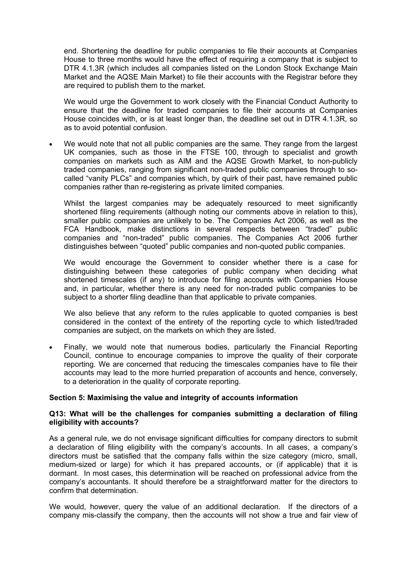end. Shortening the deadline for public companies to file their accounts at Companies House to three months would have the effect of requiring a company that is subject to DTR 4.1.3R (which includes all companies listed on the London Stock Exchange Main Market and the AQSE Main Market) to file their accounts with the Registrar before they are required to publish them to the market.

We would urge the Government to work closely with the Financial Conduct Authority to ensure that the deadline for traded companies to file their accounts at Companies House coincides with, or is at least longer than, the deadline set out in DTR 4.1.3R, so as to avoid potential confusion.

We would note that not all public companies are the same. They range from the largest UK companies, such as those in the FTSE 100, through to specialist and growth companies on markets such as AIM and the AQSE Growth Market, to non-publicly traded companies, ranging from significant non-traded public companies through to socalled "vanity PLCs" and companies which, by quirk of their past, have remained public companies rather than re-registering as private limited companies.

Whilst the largest companies may be adequately resourced to meet significantly shortened filing requirements (although noting our comments above in relation to this), smaller public companies are unlikely to be. The Companies Act 2006, as well as the FCA Handbook, make distinctions in several respects between "traded" public companies and "non-traded" public companies. The Companies Act 2006 further distinguishes between "quoted" public companies and non-quoted public companies.

We would encourage the Government to consider whether there is a case for distinguishing between these categories of public company when deciding what shortened timescales (if any) to introduce for filing accounts with Companies House and, in particular, whether there is any need for non-traded public companies to be subject to a shorter filing deadline than that applicable to private companies.

We also believe that any reform to the rules applicable to quoted companies is best considered in the context of the entirety of the reporting cycle to which listed/traded companies are subject, on the markets on which they are listed.

• Finally, we would note that numerous bodies, particularly the Financial Reporting Council, continue to encourage companies to improve the quality of their corporate reporting. We are concerned that reducing the timescales companies have to file their accounts may lead to the more hurried preparation of accounts and hence, conversely, to a deterioration in the quality of corporate reporting.

#### **Section 5: Maximising the value and integrity of accounts information**

#### **Q13: What will be the challenges for companies submitting a declaration of filing eligibility with accounts?**

As a general rule, we do not envisage significant difficulties for company directors to submit a declaration of filing eligibility with the company's accounts. In all cases, a company's directors must be satisfied that the company falls within the size category (micro, small, medium-sized or large) for which it has prepared accounts, or (if applicable) that it is dormant. In most cases, this determination will be reached on professional advice from the company's accountants. It should therefore be a straightforward matter for the directors to confirm that determination.

We would, however, query the value of an additional declaration. If the directors of a company mis-classify the company, then the accounts will not show a true and fair view of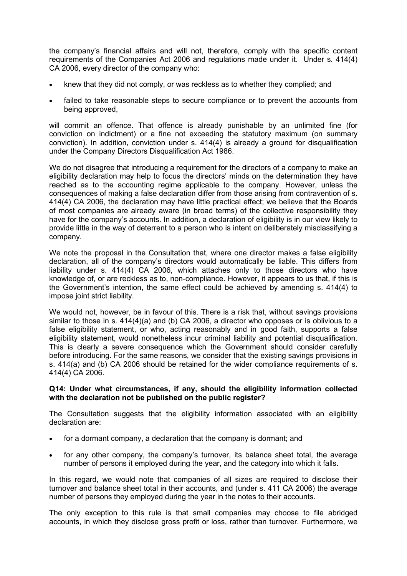the company's financial affairs and will not, therefore, comply with the specific content requirements of the Companies Act 2006 and regulations made under it. Under s. 414(4) CA 2006, every director of the company who:

- knew that they did not comply, or was reckless as to whether they complied; and
- failed to take reasonable steps to secure compliance or to prevent the accounts from being approved,

will commit an offence. That offence is already punishable by an unlimited fine (for conviction on indictment) or a fine not exceeding the statutory maximum (on summary conviction). In addition, conviction under s. 414(4) is already a ground for disqualification under the Company Directors Disqualification Act 1986.

We do not disagree that introducing a requirement for the directors of a company to make an eligibility declaration may help to focus the directors' minds on the determination they have reached as to the accounting regime applicable to the company. However, unless the consequences of making a false declaration differ from those arising from contravention of s. 414(4) CA 2006, the declaration may have little practical effect; we believe that the Boards of most companies are already aware (in broad terms) of the collective responsibility they have for the company's accounts. In addition, a declaration of eligibility is in our view likely to provide little in the way of deterrent to a person who is intent on deliberately misclassifying a company.

We note the proposal in the Consultation that, where one director makes a false eligibility declaration, all of the company's directors would automatically be liable. This differs from liability under s. 414(4) CA 2006, which attaches only to those directors who have knowledge of, or are reckless as to, non-compliance. However, it appears to us that, if this is the Government's intention, the same effect could be achieved by amending s. 414(4) to impose joint strict liability.

We would not, however, be in favour of this. There is a risk that, without savings provisions similar to those in s. 414(4)(a) and (b) CA 2006, a director who opposes or is oblivious to a false eligibility statement, or who, acting reasonably and in good faith, supports a false eligibility statement, would nonetheless incur criminal liability and potential disqualification. This is clearly a severe consequence which the Government should consider carefully before introducing. For the same reasons, we consider that the existing savings provisions in s. 414(a) and (b) CA 2006 should be retained for the wider compliance requirements of s. 414(4) CA 2006.

#### **Q14: Under what circumstances, if any, should the eligibility information collected with the declaration not be published on the public register?**

The Consultation suggests that the eligibility information associated with an eligibility declaration are:

- for a dormant company, a declaration that the company is dormant; and
- for any other company, the company's turnover, its balance sheet total, the average number of persons it employed during the year, and the category into which it falls.

In this regard, we would note that companies of all sizes are required to disclose their turnover and balance sheet total in their accounts, and (under s. 411 CA 2006) the average number of persons they employed during the year in the notes to their accounts.

The only exception to this rule is that small companies may choose to file abridged accounts, in which they disclose gross profit or loss, rather than turnover. Furthermore, we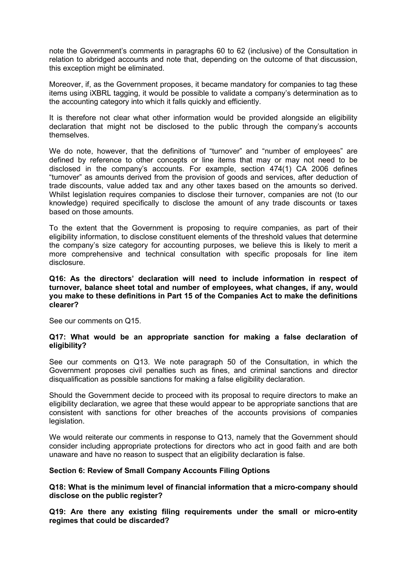note the Government's comments in paragraphs 60 to 62 (inclusive) of the Consultation in relation to abridged accounts and note that, depending on the outcome of that discussion, this exception might be eliminated.

Moreover, if, as the Government proposes, it became mandatory for companies to tag these items using iXBRL tagging, it would be possible to validate a company's determination as to the accounting category into which it falls quickly and efficiently.

It is therefore not clear what other information would be provided alongside an eligibility declaration that might not be disclosed to the public through the company's accounts themselves.

We do note, however, that the definitions of "turnover" and "number of employees" are defined by reference to other concepts or line items that may or may not need to be disclosed in the company's accounts. For example, section 474(1) CA 2006 defines "turnover" as amounts derived from the provision of goods and services, after deduction of trade discounts, value added tax and any other taxes based on the amounts so derived. Whilst legislation requires companies to disclose their turnover, companies are not (to our knowledge) required specifically to disclose the amount of any trade discounts or taxes based on those amounts.

To the extent that the Government is proposing to require companies, as part of their eligibility information, to disclose constituent elements of the threshold values that determine the company's size category for accounting purposes, we believe this is likely to merit a more comprehensive and technical consultation with specific proposals for line item disclosure.

#### **Q16: As the directors' declaration will need to include information in respect of turnover, balance sheet total and number of employees, what changes, if any, would you make to these definitions in Part 15 of the Companies Act to make the definitions clearer?**

See our comments on Q15.

#### **Q17: What would be an appropriate sanction for making a false declaration of eligibility?**

See our comments on Q13. We note paragraph 50 of the Consultation, in which the Government proposes civil penalties such as fines, and criminal sanctions and director disqualification as possible sanctions for making a false eligibility declaration.

Should the Government decide to proceed with its proposal to require directors to make an eligibility declaration, we agree that these would appear to be appropriate sanctions that are consistent with sanctions for other breaches of the accounts provisions of companies legislation.

We would reiterate our comments in response to Q13, namely that the Government should consider including appropriate protections for directors who act in good faith and are both unaware and have no reason to suspect that an eligibility declaration is false.

#### **Section 6: Review of Small Company Accounts Filing Options**

**Q18: What is the minimum level of financial information that a micro-company should disclose on the public register?**

**Q19: Are there any existing filing requirements under the small or micro-entity regimes that could be discarded?**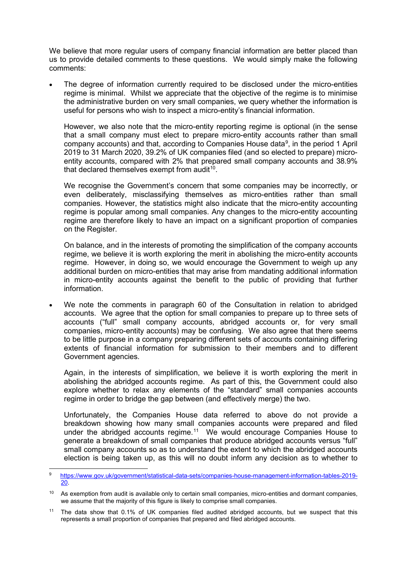We believe that more regular users of company financial information are better placed than us to provide detailed comments to these questions. We would simply make the following comments:

The degree of information currently required to be disclosed under the micro-entities regime is minimal. Whilst we appreciate that the objective of the regime is to minimise the administrative burden on very small companies, we query whether the information is useful for persons who wish to inspect a micro-entity's financial information.

However, we also note that the micro-entity reporting regime is optional (in the sense that a small company must elect to prepare micro-entity accounts rather than small company accounts) and that, according to Companies House data<sup>9</sup>, in the period 1 April 2019 to 31 March 2020, 39.2% of UK companies filed (and so elected to prepare) microentity accounts, compared with 2% that prepared small company accounts and 38.9% that declared themselves exempt from audit $10$ .

We recognise the Government's concern that some companies may be incorrectly, or even deliberately, misclassifying themselves as micro-entities rather than small companies. However, the statistics might also indicate that the micro-entity accounting regime is popular among small companies. Any changes to the micro-entity accounting regime are therefore likely to have an impact on a significant proportion of companies on the Register.

On balance, and in the interests of promoting the simplification of the company accounts regime, we believe it is worth exploring the merit in abolishing the micro-entity accounts regime. However, in doing so, we would encourage the Government to weigh up any additional burden on micro-entities that may arise from mandating additional information in micro-entity accounts against the benefit to the public of providing that further information.

We note the comments in paragraph 60 of the Consultation in relation to abridged accounts. We agree that the option for small companies to prepare up to three sets of accounts ("full" small company accounts, abridged accounts or, for very small companies, micro-entity accounts) may be confusing. We also agree that there seems to be little purpose in a company preparing different sets of accounts containing differing extents of financial information for submission to their members and to different Government agencies.

Again, in the interests of simplification, we believe it is worth exploring the merit in abolishing the abridged accounts regime. As part of this, the Government could also explore whether to relax any elements of the "standard" small companies accounts regime in order to bridge the gap between (and effectively merge) the two.

Unfortunately, the Companies House data referred to above do not provide a breakdown showing how many small companies accounts were prepared and filed under the abridged accounts regime.<sup>11</sup> We would encourage Companies House to generate a breakdown of small companies that produce abridged accounts versus "full" small company accounts so as to understand the extent to which the abridged accounts election is being taken up, as this will no doubt inform any decision as to whether to

<span id="page-8-0"></span><sup>9</sup> [https://www.gov.uk/government/statistical-data-sets/companies-house-management-information-tables-2019-](https://www.gov.uk/government/statistical-data-sets/companies-house-management-information-tables-2019-20) [20.](https://www.gov.uk/government/statistical-data-sets/companies-house-management-information-tables-2019-20)

<span id="page-8-1"></span><sup>&</sup>lt;sup>10</sup> As exemption from audit is available only to certain small companies, micro-entities and dormant companies, we assume that the majority of this figure is likely to comprise small companies.

<span id="page-8-2"></span><sup>&</sup>lt;sup>11</sup> The data show that 0.1% of UK companies filed audited abridged accounts, but we suspect that this represents a small proportion of companies that prepared and filed abridged accounts.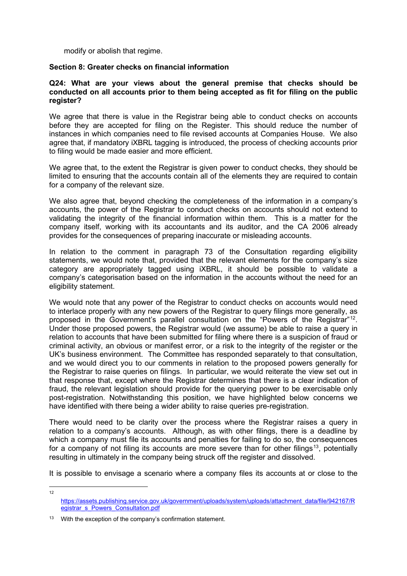modify or abolish that regime.

#### **Section 8: Greater checks on financial information**

#### **Q24: What are your views about the general premise that checks should be conducted on all accounts prior to them being accepted as fit for filing on the public register?**

We agree that there is value in the Registrar being able to conduct checks on accounts before they are accepted for filing on the Register. This should reduce the number of instances in which companies need to file revised accounts at Companies House. We also agree that, if mandatory iXBRL tagging is introduced, the process of checking accounts prior to filing would be made easier and more efficient.

We agree that, to the extent the Registrar is given power to conduct checks, they should be limited to ensuring that the accounts contain all of the elements they are required to contain for a company of the relevant size.

We also agree that, beyond checking the completeness of the information in a company's accounts, the power of the Registrar to conduct checks on accounts should not extend to validating the integrity of the financial information within them. This is a matter for the company itself, working with its accountants and its auditor, and the CA 2006 already provides for the consequences of preparing inaccurate or misleading accounts.

In relation to the comment in paragraph 73 of the Consultation regarding eligibility statements, we would note that, provided that the relevant elements for the company's size category are appropriately tagged using iXBRL, it should be possible to validate a company's categorisation based on the information in the accounts without the need for an eligibility statement.

We would note that any power of the Registrar to conduct checks on accounts would need to interlace properly with any new powers of the Registrar to query filings more generally, as proposed in the Government's parallel consultation on the "Powers of the Registrar"[12.](#page-9-0) Under those proposed powers, the Registrar would (we assume) be able to raise a query in relation to accounts that have been submitted for filing where there is a suspicion of fraud or criminal activity, an obvious or manifest error, or a risk to the integrity of the register or the UK's business environment. The Committee has responded separately to that consultation, and we would direct you to our comments in relation to the proposed powers generally for the Registrar to raise queries on filings. In particular, we would reiterate the view set out in that response that, except where the Registrar determines that there is a clear indication of fraud, the relevant legislation should provide for the querying power to be exercisable only post-registration. Notwithstanding this position, we have highlighted below concerns we have identified with there being a wider ability to raise queries pre-registration.

There would need to be clarity over the process where the Registrar raises a query in relation to a company's accounts. Although, as with other filings, there is a deadline by which a company must file its accounts and penalties for failing to do so, the consequences for a company of not filing its accounts are more severe than for other filings<sup>[13](#page-9-1)</sup>, potentially resulting in ultimately in the company being struck off the register and dissolved.

It is possible to envisage a scenario where a company files its accounts at or close to the

<span id="page-9-0"></span>12

[https://assets.publishing.service.gov.uk/government/uploads/system/uploads/attachment\\_data/file/942167/R](https://assets.publishing.service.gov.uk/government/uploads/system/uploads/attachment_data/file/942167/Registrar_s_Powers_Consultation.pdf) [egistrar\\_s\\_Powers\\_Consultation.pdf](https://assets.publishing.service.gov.uk/government/uploads/system/uploads/attachment_data/file/942167/Registrar_s_Powers_Consultation.pdf)

<span id="page-9-1"></span> $13$  With the exception of the company's confirmation statement.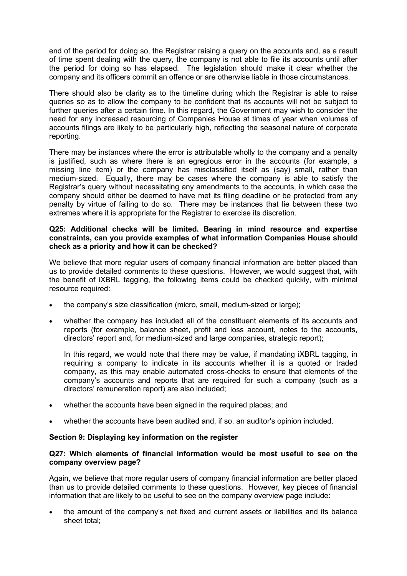end of the period for doing so, the Registrar raising a query on the accounts and, as a result of time spent dealing with the query, the company is not able to file its accounts until after the period for doing so has elapsed. The legislation should make it clear whether the company and its officers commit an offence or are otherwise liable in those circumstances.

There should also be clarity as to the timeline during which the Registrar is able to raise queries so as to allow the company to be confident that its accounts will not be subject to further queries after a certain time. In this regard, the Government may wish to consider the need for any increased resourcing of Companies House at times of year when volumes of accounts filings are likely to be particularly high, reflecting the seasonal nature of corporate reporting.

There may be instances where the error is attributable wholly to the company and a penalty is justified, such as where there is an egregious error in the accounts (for example, a missing line item) or the company has misclassified itself as (say) small, rather than medium-sized. Equally, there may be cases where the company is able to satisfy the Registrar's query without necessitating any amendments to the accounts, in which case the company should either be deemed to have met its filing deadline or be protected from any penalty by virtue of failing to do so. There may be instances that lie between these two extremes where it is appropriate for the Registrar to exercise its discretion.

#### **Q25: Additional checks will be limited. Bearing in mind resource and expertise constraints, can you provide examples of what information Companies House should check as a priority and how it can be checked?**

We believe that more regular users of company financial information are better placed than us to provide detailed comments to these questions. However, we would suggest that, with the benefit of iXBRL tagging, the following items could be checked quickly, with minimal resource required:

- the company's size classification (micro, small, medium-sized or large);
- whether the company has included all of the constituent elements of its accounts and reports (for example, balance sheet, profit and loss account, notes to the accounts, directors' report and, for medium-sized and large companies, strategic report);

In this regard, we would note that there may be value, if mandating iXBRL tagging, in requiring a company to indicate in its accounts whether it is a quoted or traded company, as this may enable automated cross-checks to ensure that elements of the company's accounts and reports that are required for such a company (such as a directors' remuneration report) are also included;

- whether the accounts have been signed in the required places; and
- whether the accounts have been audited and, if so, an auditor's opinion included.

#### **Section 9: Displaying key information on the register**

#### **Q27: Which elements of financial information would be most useful to see on the company overview page?**

Again, we believe that more regular users of company financial information are better placed than us to provide detailed comments to these questions. However, key pieces of financial information that are likely to be useful to see on the company overview page include:

• the amount of the company's net fixed and current assets or liabilities and its balance sheet total;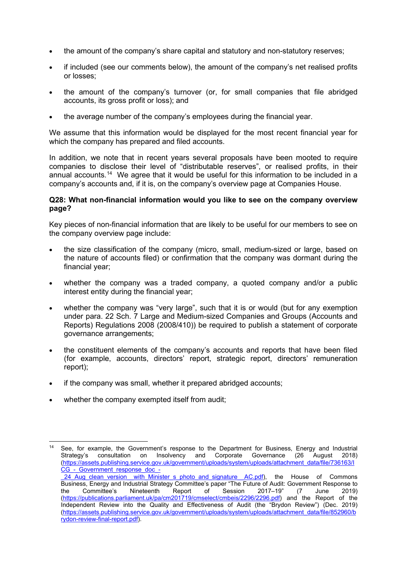- the amount of the company's share capital and statutory and non-statutory reserves;
- if included (see our comments below), the amount of the company's net realised profits or losses;
- the amount of the company's turnover (or, for small companies that file abridged accounts, its gross profit or loss); and
- the average number of the company's employees during the financial year.

We assume that this information would be displayed for the most recent financial year for which the company has prepared and filed accounts.

In addition, we note that in recent years several proposals have been mooted to require companies to disclose their level of "distributable reserves", or realised profits, in their annual accounts.[14](#page-11-0) We agree that it would be useful for this information to be included in a company's accounts and, if it is, on the company's overview page at Companies House.

#### **Q28: What non-financial information would you like to see on the company overview page?**

Key pieces of non-financial information that are likely to be useful for our members to see on the company overview page include:

- the size classification of the company (micro, small, medium-sized or large, based on the nature of accounts filed) or confirmation that the company was dormant during the financial year;
- whether the company was a traded company, a quoted company and/or a public interest entity during the financial year;
- whether the company was "very large", such that it is or would (but for any exemption under para. 22 Sch. 7 Large and Medium-sized Companies and Groups (Accounts and Reports) Regulations 2008 (2008/410)) be required to publish a statement of corporate governance arrangements;
- the constituent elements of the company's accounts and reports that have been filed (for example, accounts, directors' report, strategic report, directors' remuneration report);
- if the company was small, whether it prepared abridged accounts;
- whether the company exempted itself from audit;

<span id="page-11-0"></span><sup>&</sup>lt;sup>14</sup> See, for example, the Government's response to the Department for Business, Energy and Industrial<br>Strategy's consultation on Insolvency and Corporate Governance (26 August 2018) consultation on [\(https://assets.publishing.service.gov.uk/government/uploads/system/uploads/attachment\\_data/file/736163/I](https://assets.publishing.service.gov.uk/government/uploads/system/uploads/attachment_data/file/736163/ICG_-_Government_response_doc_-_24_Aug_clean_version__with_Minister_s_photo_and_signature__AC.pdf) [CG\\_-\\_Government\\_response\\_doc\\_-](https://assets.publishing.service.gov.uk/government/uploads/system/uploads/attachment_data/file/736163/ICG_-_Government_response_doc_-_24_Aug_clean_version__with_Minister_s_photo_and_signature__AC.pdf)

<sup>&</sup>lt;u>[\\_24\\_Aug\\_clean\\_version\\_\\_with\\_Minister\\_s\\_photo\\_and\\_signature\\_\\_AC.pdf\)](https://assets.publishing.service.gov.uk/government/uploads/system/uploads/attachment_data/file/736163/ICG_-_Government_response_doc_-_24_Aug_clean_version__with_Minister_s_photo_and_signature__AC.pdf),</u> the House of Commons Business, Energy and Industrial Strategy Committee's paper "The Future of Audit: Government Response to the Committee's Nineteenth Report of Session 2017–19" (7 June 2019) [\(https://publications.parliament.uk/pa/cm201719/cmselect/cmbeis/2296/2296.pdf\)](https://publications.parliament.uk/pa/cm201719/cmselect/cmbeis/2296/2296.pdf) and the Report of the Independent Review into the Quality and Effectiveness of Audit (the "Brydon Review") (Dec. 2019) [\(https://assets.publishing.service.gov.uk/government/uploads/system/uploads/attachment\\_data/file/852960/b](https://assets.publishing.service.gov.uk/government/uploads/system/uploads/attachment_data/file/852960/brydon-review-final-report.pdf) [rydon-review-final-report.pdf\)](https://assets.publishing.service.gov.uk/government/uploads/system/uploads/attachment_data/file/852960/brydon-review-final-report.pdf).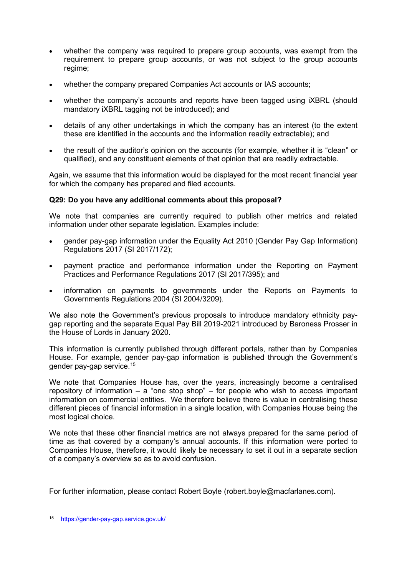- whether the company was required to prepare group accounts, was exempt from the requirement to prepare group accounts, or was not subject to the group accounts regime;
- whether the company prepared Companies Act accounts or IAS accounts;
- whether the company's accounts and reports have been tagged using iXBRL (should mandatory iXBRL tagging not be introduced); and
- details of any other undertakings in which the company has an interest (to the extent these are identified in the accounts and the information readily extractable); and
- the result of the auditor's opinion on the accounts (for example, whether it is "clean" or qualified), and any constituent elements of that opinion that are readily extractable.

Again, we assume that this information would be displayed for the most recent financial year for which the company has prepared and filed accounts.

## **Q29: Do you have any additional comments about this proposal?**

We note that companies are currently required to publish other metrics and related information under other separate legislation. Examples include:

- gender pay-gap information under the Equality Act 2010 (Gender Pay Gap Information) Regulations 2017 (SI 2017/172);
- payment practice and performance information under the Reporting on Payment Practices and Performance Regulations 2017 (SI 2017/395); and
- information on payments to governments under the Reports on Payments to Governments Regulations 2004 (SI 2004/3209).

We also note the Government's previous proposals to introduce mandatory ethnicity paygap reporting and the separate Equal Pay Bill 2019-2021 introduced by Baroness Prosser in the House of Lords in January 2020.

This information is currently published through different portals, rather than by Companies House. For example, gender pay-gap information is published through the Government's gender pay-gap service.[15](#page-12-0)

We note that Companies House has, over the years, increasingly become a centralised repository of information – a "one stop shop" – for people who wish to access important information on commercial entities. We therefore believe there is value in centralising these different pieces of financial information in a single location, with Companies House being the most logical choice.

We note that these other financial metrics are not always prepared for the same period of time as that covered by a company's annual accounts. If this information were ported to Companies House, therefore, it would likely be necessary to set it out in a separate section of a company's overview so as to avoid confusion.

For further information, please contact Robert Boyle (robert.boyle@macfarlanes.com).

<span id="page-12-0"></span><sup>15</sup> <https://gender-pay-gap.service.gov.uk/>